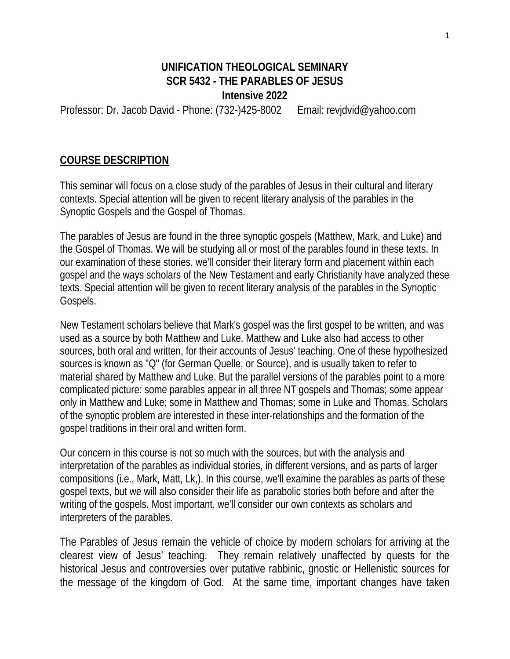### **UNIFICATION THEOLOGICAL SEMINARY SCR 5432 - THE PARABLES OF JESUS Intensive 2022**

Professor: Dr. Jacob David - Phone: (732-)425-8002 Email: revjdvid@yahoo.com

#### **COURSE DESCRIPTION**

This seminar will focus on a close study of the parables of Jesus in their cultural and literary contexts. Special attention will be given to recent literary analysis of the parables in the Synoptic Gospels and the Gospel of Thomas.

The parables of Jesus are found in the three synoptic gospels (Matthew, Mark, and Luke) and the Gospel of Thomas. We will be studying all or most of the parables found in these texts. In our examination of these stories, we'll consider their literary form and placement within each gospel and the ways scholars of the New Testament and early Christianity have analyzed these texts. Special attention will be given to recent literary analysis of the parables in the Synoptic Gospels.

New Testament scholars believe that Mark's gospel was the first gospel to be written, and was used as a source by both Matthew and Luke. Matthew and Luke also had access to other sources, both oral and written, for their accounts of Jesus' teaching. One of these hypothesized sources is known as "Q" (for German Quelle, or Source), and is usually taken to refer to material shared by Matthew and Luke. But the parallel versions of the parables point to a more complicated picture: some parables appear in all three NT gospels and Thomas; some appear only in Matthew and Luke; some in Matthew and Thomas; some in Luke and Thomas. Scholars of the synoptic problem are interested in these inter-relationships and the formation of the gospel traditions in their oral and written form.

Our concern in this course is not so much with the sources, but with the analysis and interpretation of the parables as individual stories, in different versions, and as parts of larger compositions (i.e., Mark, Matt, Lk,). In this course, we'll examine the parables as parts of these gospel texts, but we will also consider their life as parabolic stories both before and after the writing of the gospels. Most important, we'll consider our own contexts as scholars and interpreters of the parables.

The Parables of Jesus remain the vehicle of choice by modern scholars for arriving at the clearest view of Jesus' teaching. They remain relatively unaffected by quests for the historical Jesus and controversies over putative rabbinic, gnostic or Hellenistic sources for the message of the kingdom of God. At the same time, important changes have taken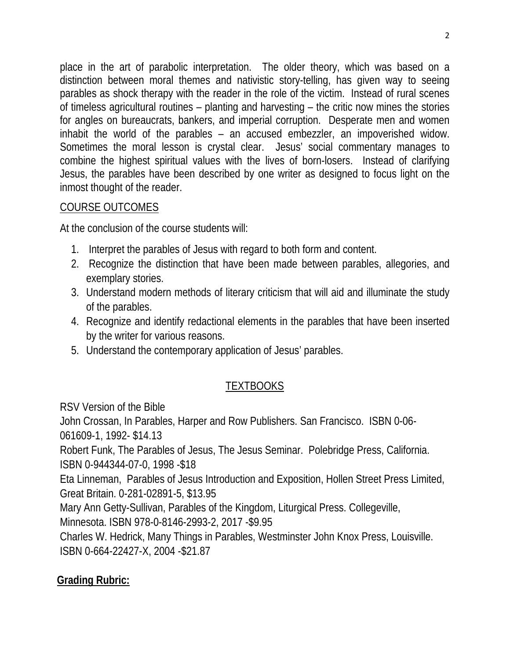place in the art of parabolic interpretation. The older theory, which was based on a distinction between moral themes and nativistic story-telling, has given way to seeing parables as shock therapy with the reader in the role of the victim. Instead of rural scenes of timeless agricultural routines – planting and harvesting – the critic now mines the stories for angles on bureaucrats, bankers, and imperial corruption. Desperate men and women inhabit the world of the parables – an accused embezzler, an impoverished widow. Sometimes the moral lesson is crystal clear. Jesus' social commentary manages to combine the highest spiritual values with the lives of born-losers. Instead of clarifying Jesus, the parables have been described by one writer as designed to focus light on the inmost thought of the reader.

# COURSE OUTCOMES

At the conclusion of the course students will:

- 1. Interpret the parables of Jesus with regard to both form and content.
- 2. Recognize the distinction that have been made between parables, allegories, and exemplary stories.
- 3. Understand modern methods of literary criticism that will aid and illuminate the study of the parables.
- 4. Recognize and identify redactional elements in the parables that have been inserted by the writer for various reasons.
- 5. Understand the contemporary application of Jesus' parables.

# TEXTBOOKS

RSV Version of the Bible

John Crossan, In Parables, Harper and Row Publishers. San Francisco. ISBN 0-06-

061609-1, 1992- \$14.13

Robert Funk, The Parables of Jesus, The Jesus Seminar. Polebridge Press, California. ISBN 0-944344-07-0, 1998 -\$18

Eta Linneman, Parables of Jesus Introduction and Exposition, Hollen Street Press Limited, Great Britain. 0-281-02891-5, \$13.95

Mary Ann Getty-Sullivan, Parables of the Kingdom, Liturgical Press. Collegeville,

Minnesota. ISBN 978-0-8146-2993-2, 2017 -\$9.95

Charles W. Hedrick, Many Things in Parables, Westminster John Knox Press, Louisville. ISBN 0-664-22427-X, 2004 -\$21.87

# **Grading Rubric:**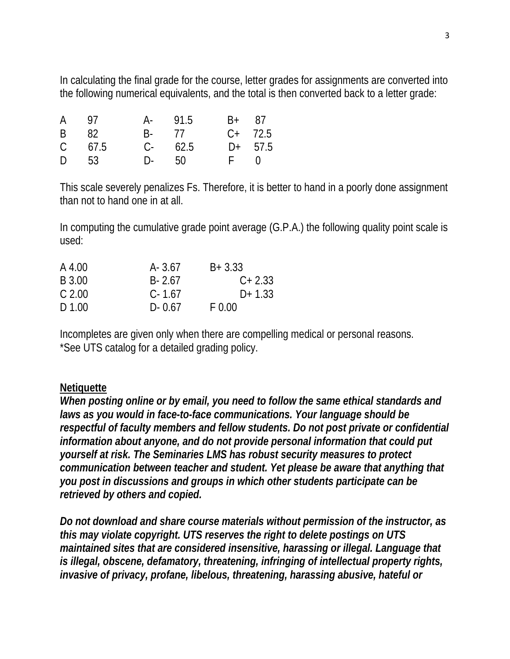In calculating the final grade for the course, letter grades for assignments are converted into the following numerical equivalents, and the total is then converted back to a letter grade:

| A 97       | A- 91.5    | B+ 87 |              |
|------------|------------|-------|--------------|
| B 82       | B- 77      |       | $C+$ 72.5    |
| $C = 67.5$ | $C - 62.5$ |       | $D+ 57.5$    |
| D 53       | D- 50      |       | $F \qquad 0$ |

This scale severely penalizes Fs. Therefore, it is better to hand in a poorly done assignment than not to hand one in at all.

In computing the cumulative grade point average (G.P.A.) the following quality point scale is used:

| $A - 3.67$ | $B + 3.33$ |
|------------|------------|
| $B - 2.67$ | $C+2.33$   |
| $C - 1.67$ | $D+1.33$   |
| $D - 0.67$ | F 0.00     |
|            |            |

Incompletes are given only when there are compelling medical or personal reasons. \*See UTS catalog for a detailed grading policy.

#### **Netiquette**

*When posting online or by email, you need to follow the same ethical standards and laws as you would in face-to-face communications. Your language should be respectful of faculty members and fellow students. Do not post private or confidential information about anyone, and do not provide personal information that could put yourself at risk. The Seminaries LMS has robust security measures to protect communication between teacher and student. Yet please be aware that anything that you post in discussions and groups in which other students participate can be retrieved by others and copied.* 

*Do not download and share course materials without permission of the instructor, as this may violate copyright. UTS reserves the right to delete postings on UTS maintained sites that are considered insensitive, harassing or illegal. Language that is illegal, obscene, defamatory, threatening, infringing of intellectual property rights, invasive of privacy, profane, libelous, threatening, harassing abusive, hateful or*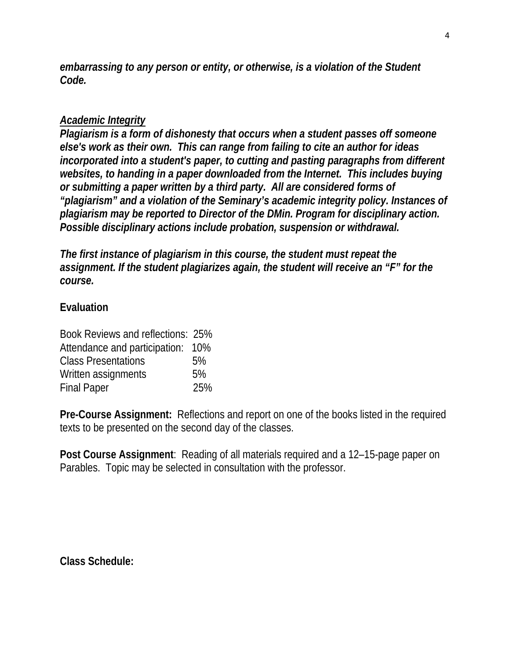*embarrassing to any person or entity, or otherwise, is a violation of the Student Code.* 

### *Academic Integrity*

*Plagiarism is a form of dishonesty that occurs when a student passes off someone else's work as their own. This can range from failing to cite an author for ideas incorporated into a student's paper, to cutting and pasting paragraphs from different websites, to handing in a paper downloaded from the Internet. This includes buying or submitting a paper written by a third party. All are considered forms of "plagiarism" and a violation of the Seminary's academic integrity policy. Instances of plagiarism may be reported to Director of the DMin. Program for disciplinary action. Possible disciplinary actions include probation, suspension or withdrawal.* 

*The first instance of plagiarism in this course, the student must repeat the assignment. If the student plagiarizes again, the student will receive an "F" for the course.* 

### **Evaluation**

| Book Reviews and reflections: 25% |     |
|-----------------------------------|-----|
| Attendance and participation: 10% |     |
| <b>Class Presentations</b>        | 5%  |
| Written assignments               | 5%  |
| <b>Final Paper</b>                | 25% |

**Pre-Course Assignment:** Reflections and report on one of the books listed in the required texts to be presented on the second day of the classes.

**Post Course Assignment**: Reading of all materials required and a 12–15-page paper on Parables. Topic may be selected in consultation with the professor.

**Class Schedule:**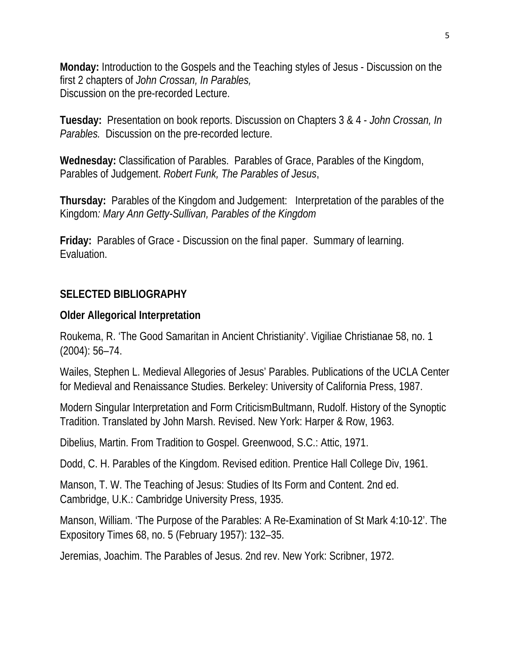**Monday:** Introduction to the Gospels and the Teaching styles of Jesus - Discussion on the first 2 chapters of *John Crossan, In Parables,*  Discussion on the pre-recorded Lecture.

**Tuesday:** Presentation on book reports. Discussion on Chapters 3 & 4 - *John Crossan, In Parables.* Discussion on the pre-recorded lecture.

**Wednesday:** Classification of Parables. Parables of Grace, Parables of the Kingdom, Parables of Judgement. *Robert Funk, The Parables of Jesus*,

**Thursday:** Parables of the Kingdom and Judgement: Interpretation of the parables of the Kingdom*: Mary Ann Getty-Sullivan, Parables of the Kingdom* 

**Friday:** Parables of Grace - Discussion on the final paper. Summary of learning. Evaluation.

## **SELECTED BIBLIOGRAPHY**

### **Older Allegorical Interpretation**

Roukema, R. 'The Good Samaritan in Ancient Christianity'. Vigiliae Christianae 58, no. 1 (2004): 56–74.

Wailes, Stephen L. Medieval Allegories of Jesus' Parables. Publications of the UCLA Center for Medieval and Renaissance Studies. Berkeley: University of California Press, 1987.

Modern Singular Interpretation and Form CriticismBultmann, Rudolf. History of the Synoptic Tradition. Translated by John Marsh. Revised. New York: Harper & Row, 1963.

Dibelius, Martin. From Tradition to Gospel. Greenwood, S.C.: Attic, 1971.

Dodd, C. H. Parables of the Kingdom. Revised edition. Prentice Hall College Div, 1961.

Manson, T. W. The Teaching of Jesus: Studies of Its Form and Content. 2nd ed. Cambridge, U.K.: Cambridge University Press, 1935.

Manson, William. 'The Purpose of the Parables: A Re-Examination of St Mark 4:10-12'. The Expository Times 68, no. 5 (February 1957): 132–35.

Jeremias, Joachim. The Parables of Jesus. 2nd rev. New York: Scribner, 1972.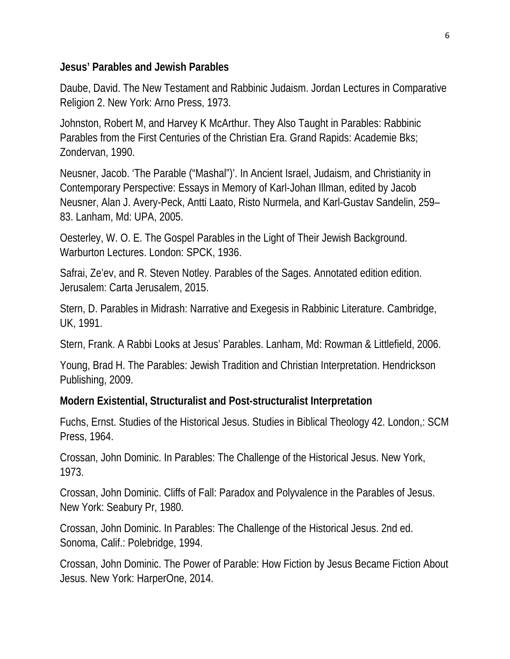#### **Jesus' Parables and Jewish Parables**

Daube, David. The New Testament and Rabbinic Judaism. Jordan Lectures in Comparative Religion 2. New York: Arno Press, 1973.

Johnston, Robert M, and Harvey K McArthur. They Also Taught in Parables: Rabbinic Parables from the First Centuries of the Christian Era. Grand Rapids: Academie Bks; Zondervan, 1990.

Neusner, Jacob. 'The Parable ("Mashal")'. In Ancient Israel, Judaism, and Christianity in Contemporary Perspective: Essays in Memory of Karl-Johan Illman, edited by Jacob Neusner, Alan J. Avery-Peck, Antti Laato, Risto Nurmela, and Karl-Gustav Sandelin, 259– 83. Lanham, Md: UPA, 2005.

Oesterley, W. O. E. The Gospel Parables in the Light of Their Jewish Background. Warburton Lectures. London: SPCK, 1936.

Safrai, Ze'ev, and R. Steven Notley. Parables of the Sages. Annotated edition edition. Jerusalem: Carta Jerusalem, 2015.

Stern, D. Parables in Midrash: Narrative and Exegesis in Rabbinic Literature. Cambridge, UK, 1991.

Stern, Frank. A Rabbi Looks at Jesus' Parables. Lanham, Md: Rowman & Littlefield, 2006.

Young, Brad H. The Parables: Jewish Tradition and Christian Interpretation. Hendrickson Publishing, 2009.

## **Modern Existential, Structuralist and Post-structuralist Interpretation**

Fuchs, Ernst. Studies of the Historical Jesus. Studies in Biblical Theology 42. London,: SCM Press, 1964.

Crossan, John Dominic. In Parables: The Challenge of the Historical Jesus. New York, 1973.

Crossan, John Dominic. Cliffs of Fall: Paradox and Polyvalence in the Parables of Jesus. New York: Seabury Pr, 1980.

Crossan, John Dominic. In Parables: The Challenge of the Historical Jesus. 2nd ed. Sonoma, Calif.: Polebridge, 1994.

Crossan, John Dominic. The Power of Parable: How Fiction by Jesus Became Fiction About Jesus. New York: HarperOne, 2014.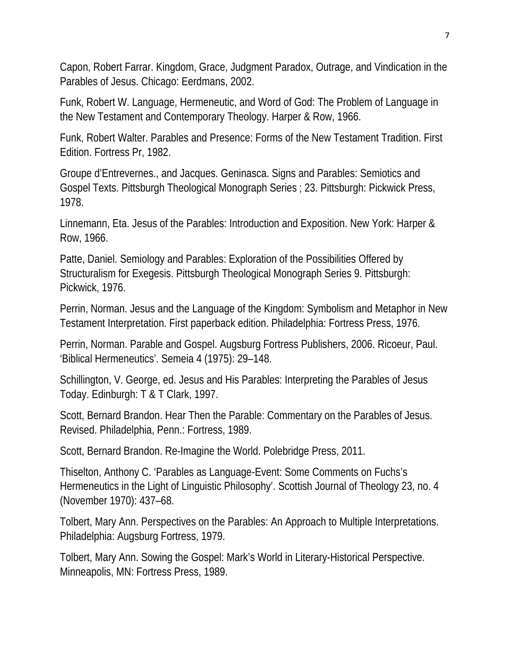Capon, Robert Farrar. Kingdom, Grace, Judgment Paradox, Outrage, and Vindication in the Parables of Jesus. Chicago: Eerdmans, 2002.

Funk, Robert W. Language, Hermeneutic, and Word of God: The Problem of Language in the New Testament and Contemporary Theology. Harper & Row, 1966.

Funk, Robert Walter. Parables and Presence: Forms of the New Testament Tradition. First Edition. Fortress Pr, 1982.

Groupe d'Entrevernes., and Jacques. Geninasca. Signs and Parables: Semiotics and Gospel Texts. Pittsburgh Theological Monograph Series ; 23. Pittsburgh: Pickwick Press, 1978.

Linnemann, Eta. Jesus of the Parables: Introduction and Exposition. New York: Harper & Row, 1966.

Patte, Daniel. Semiology and Parables: Exploration of the Possibilities Offered by Structuralism for Exegesis. Pittsburgh Theological Monograph Series 9. Pittsburgh: Pickwick, 1976.

Perrin, Norman. Jesus and the Language of the Kingdom: Symbolism and Metaphor in New Testament Interpretation. First paperback edition. Philadelphia: Fortress Press, 1976.

Perrin, Norman. Parable and Gospel. Augsburg Fortress Publishers, 2006. Ricoeur, Paul. 'Biblical Hermeneutics'. Semeia 4 (1975): 29–148.

Schillington, V. George, ed. Jesus and His Parables: Interpreting the Parables of Jesus Today. Edinburgh: T & T Clark, 1997.

Scott, Bernard Brandon. Hear Then the Parable: Commentary on the Parables of Jesus. Revised. Philadelphia, Penn.: Fortress, 1989.

Scott, Bernard Brandon. Re-Imagine the World. Polebridge Press, 2011.

Thiselton, Anthony C. 'Parables as Language-Event: Some Comments on Fuchs's Hermeneutics in the Light of Linguistic Philosophy'. Scottish Journal of Theology 23, no. 4 (November 1970): 437–68.

Tolbert, Mary Ann. Perspectives on the Parables: An Approach to Multiple Interpretations. Philadelphia: Augsburg Fortress, 1979.

Tolbert, Mary Ann. Sowing the Gospel: Mark's World in Literary-Historical Perspective. Minneapolis, MN: Fortress Press, 1989.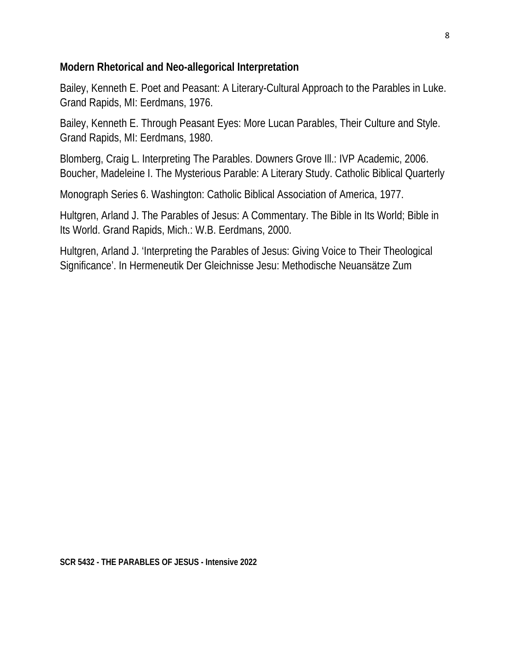#### **Modern Rhetorical and Neo-allegorical Interpretation**

Bailey, Kenneth E. Poet and Peasant: A Literary-Cultural Approach to the Parables in Luke. Grand Rapids, MI: Eerdmans, 1976.

Bailey, Kenneth E. Through Peasant Eyes: More Lucan Parables, Their Culture and Style. Grand Rapids, MI: Eerdmans, 1980.

Blomberg, Craig L. Interpreting The Parables. Downers Grove Ill.: IVP Academic, 2006. Boucher, Madeleine I. The Mysterious Parable: A Literary Study. Catholic Biblical Quarterly

Monograph Series 6. Washington: Catholic Biblical Association of America, 1977.

Hultgren, Arland J. The Parables of Jesus: A Commentary. The Bible in Its World; Bible in Its World. Grand Rapids, Mich.: W.B. Eerdmans, 2000.

Hultgren, Arland J. 'Interpreting the Parables of Jesus: Giving Voice to Their Theological Significance'. In Hermeneutik Der Gleichnisse Jesu: Methodische Neuansätze Zum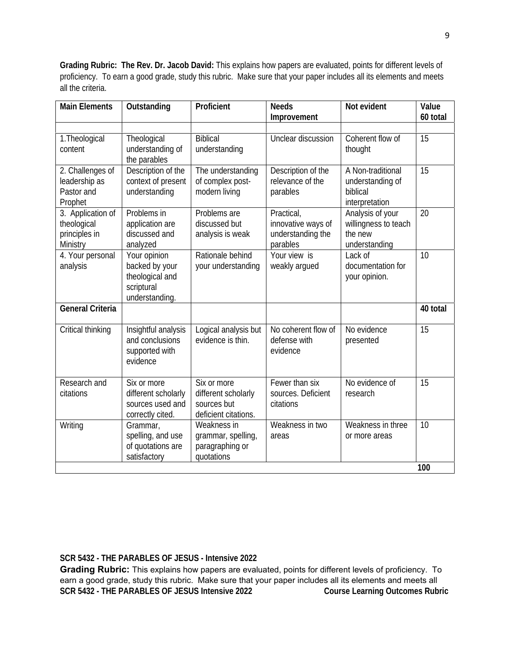**Grading Rubric: The Rev. Dr. Jacob David:** This explains how papers are evaluated, points for different levels of proficiency. To earn a good grade, study this rubric. Make sure that your paper includes all its elements and meets all the criteria.

| <b>Main Elements</b>                                          | Outstanding                                                                       | Proficient                                                                | <b>Needs</b><br>Improvement                                       | Not evident                                                          | Value<br>60 total |
|---------------------------------------------------------------|-----------------------------------------------------------------------------------|---------------------------------------------------------------------------|-------------------------------------------------------------------|----------------------------------------------------------------------|-------------------|
|                                                               |                                                                                   |                                                                           |                                                                   |                                                                      |                   |
| 1. Theological<br>content                                     | Theological<br>understanding of<br>the parables                                   | <b>Biblical</b><br>understanding                                          | Unclear discussion                                                | Coherent flow of<br>thought                                          | 15                |
| 2. Challenges of<br>leadership as<br>Pastor and<br>Prophet    | Description of the<br>context of present<br>understanding                         | The understanding<br>of complex post-<br>modern living                    | Description of the<br>relevance of the<br>parables                | A Non-traditional<br>understanding of<br>biblical<br>interpretation  | 15                |
| 3. Application of<br>theological<br>principles in<br>Ministry | Problems in<br>application are<br>discussed and<br>analyzed                       | Problems are<br>discussed but<br>analysis is weak                         | Practical,<br>innovative ways of<br>understanding the<br>parables | Analysis of your<br>willingness to teach<br>the new<br>understanding | 20                |
| 4. Your personal<br>analysis                                  | Your opinion<br>backed by your<br>theological and<br>scriptural<br>understanding. | Rationale behind<br>your understanding                                    | Your view is<br>weakly argued                                     | Lack of<br>documentation for<br>your opinion.                        | 10                |
| <b>General Criteria</b>                                       |                                                                                   |                                                                           |                                                                   |                                                                      | 40 total          |
| Critical thinking                                             | Insightful analysis<br>and conclusions<br>supported with<br>evidence              | Logical analysis but<br>evidence is thin.                                 | No coherent flow of<br>defense with<br>evidence                   | No evidence<br>presented                                             | 15                |
| Research and<br>citations                                     | Six or more<br>different scholarly<br>sources used and<br>correctly cited.        | Six or more<br>different scholarly<br>sources but<br>deficient citations. | Fewer than six<br>sources. Deficient<br>citations                 | No evidence of<br>research                                           | 15                |
| Writing                                                       | Grammar,<br>spelling, and use<br>of quotations are<br>satisfactory                | Weakness in<br>grammar, spelling,<br>paragraphing or<br>quotations        | Weakness in two<br>areas                                          | Weakness in three<br>or more areas                                   | 10                |
|                                                               |                                                                                   |                                                                           |                                                                   |                                                                      | 100               |

**SCR 5432 - THE PARABLES OF JESUS - Intensive 2022** 

**Grading Rubric:** This explains how papers are evaluated, points for different levels of proficiency. To earn a good grade, study this rubric. Make sure that your paper includes all its elements and meets all<br>SCR 5432 - THE PARABLES OF JESUS Intensive 2022 Course Learning Outcomes Rubric **SCR 5432 - THE PARABLES OF JESUS Intensive 2022**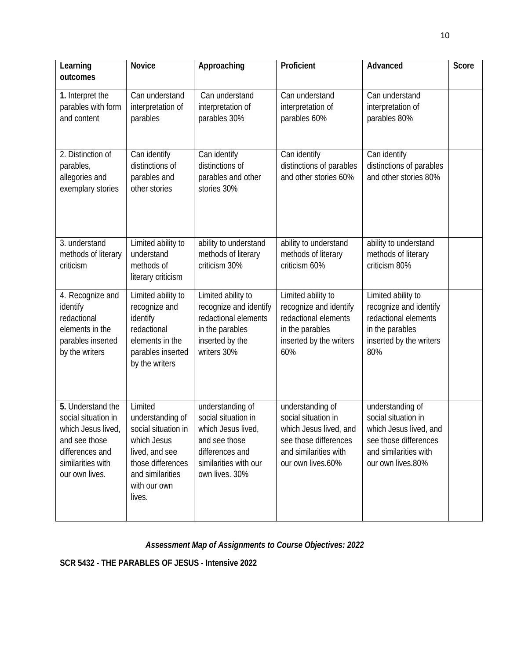| Learning<br>outcomes                                                                                                                     | <b>Novice</b>                                                                                                                                          | Approaching                                                                                                                                 | Proficient                                                                                                                               | Advanced                                                                                                                                 | Score |
|------------------------------------------------------------------------------------------------------------------------------------------|--------------------------------------------------------------------------------------------------------------------------------------------------------|---------------------------------------------------------------------------------------------------------------------------------------------|------------------------------------------------------------------------------------------------------------------------------------------|------------------------------------------------------------------------------------------------------------------------------------------|-------|
| 1. Interpret the<br>parables with form<br>and content                                                                                    | Can understand<br>interpretation of<br>parables                                                                                                        | Can understand<br>interpretation of<br>parables 30%                                                                                         | Can understand<br>interpretation of<br>parables 60%                                                                                      | Can understand<br>interpretation of<br>parables 80%                                                                                      |       |
| 2. Distinction of<br>parables,<br>allegories and<br>exemplary stories                                                                    | Can identify<br>distinctions of<br>parables and<br>other stories                                                                                       | Can identify<br>distinctions of<br>parables and other<br>stories 30%                                                                        | Can identify<br>distinctions of parables<br>and other stories 60%                                                                        | Can identify<br>distinctions of parables<br>and other stories 80%                                                                        |       |
| 3. understand<br>methods of literary<br>criticism                                                                                        | Limited ability to<br>understand<br>methods of<br>literary criticism                                                                                   | ability to understand<br>methods of literary<br>criticism 30%                                                                               | ability to understand<br>methods of literary<br>criticism 60%                                                                            | ability to understand<br>methods of literary<br>criticism 80%                                                                            |       |
| 4. Recognize and<br>identify<br>redactional<br>elements in the<br>parables inserted<br>by the writers                                    | Limited ability to<br>recognize and<br>identify<br>redactional<br>elements in the<br>parables inserted<br>by the writers                               | Limited ability to<br>recognize and identify<br>redactional elements<br>in the parables<br>inserted by the<br>writers 30%                   | Limited ability to<br>recognize and identify<br>redactional elements<br>in the parables<br>inserted by the writers<br>60%                | Limited ability to<br>recognize and identify<br>redactional elements<br>in the parables<br>inserted by the writers<br>80%                |       |
| 5. Understand the<br>social situation in<br>which Jesus lived<br>and see those<br>differences and<br>similarities with<br>our own lives. | Limited<br>understanding of<br>social situation in<br>which Jesus<br>lived, and see<br>those differences<br>and similarities<br>with our own<br>lives. | understanding of<br>social situation in<br>which Jesus lived<br>and see those<br>differences and<br>similarities with our<br>own lives. 30% | understanding of<br>social situation in<br>which Jesus lived, and<br>see those differences<br>and similarities with<br>our own lives.60% | understanding of<br>social situation in<br>which Jesus lived, and<br>see those differences<br>and similarities with<br>our own lives.80% |       |

## *Assessment Map of Assignments to Course Objectives: 2022*

**SCR 5432 - THE PARABLES OF JESUS - Intensive 2022**